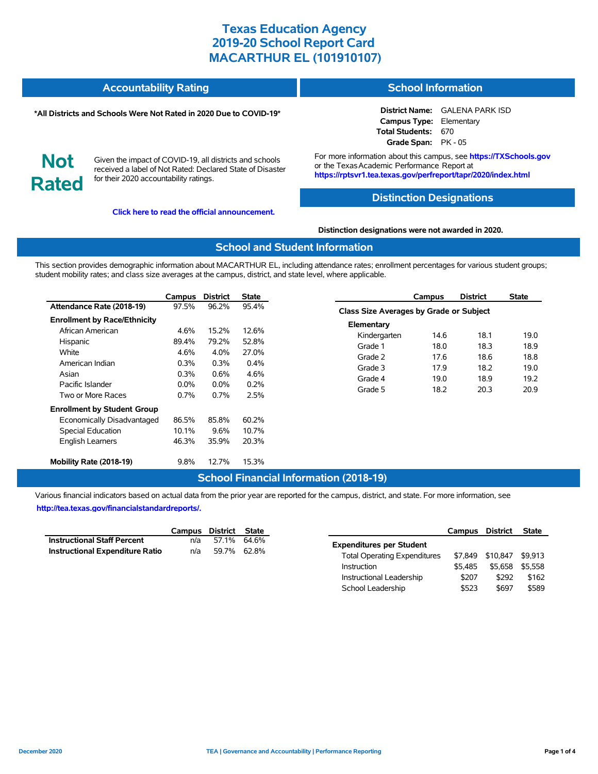#### **Accountability Rating School Information**

### **\*All Districts and Schools Were Not Rated in 2020 Due to COVID-19\***

**District Name:** GALENA PARK ISD **Campus Type:** Elementary **Total Students:** 670 **Grade Span:** PK - 05

**Not Rated**

Given the impact of COVID-19, all districts and schools received a label of Not Rated: Declared State of Disaster for their 2020 accountability ratings.

**[Click here to read the official announcement.](https://tea.texas.gov/about-tea/news-and-multimedia/correspondence/taa-letters/every-student-succeeds-act-essa-waiver-approval-2020-state-academic-accountability)**

For more information about this campus, see **https://TXSchools.gov** or the Texas Academic Performance Report at **https://rptsvr1.tea.texas.gov/perfreport/tapr/2020/index.html**

## **Distinction Designations**

### **Distinction designations were not awarded in 2020.**

## **School and Student Information**

This section provides demographic information about MACARTHUR EL, including attendance rates; enrollment percentages for various student groups; student mobility rates; and class size averages at the campus, district, and state level, where applicable.

|                                     | Campus  | <b>District</b> | <b>State</b> |
|-------------------------------------|---------|-----------------|--------------|
| Attendance Rate (2018-19)           | 97.5%   | 96.2%           | 95.4%        |
| <b>Enrollment by Race/Ethnicity</b> |         |                 |              |
| African American                    | 4.6%    | 15.2%           | 12.6%        |
| Hispanic                            | 89.4%   | 79.2%           | 52.8%        |
| White                               | 4.6%    | 4.0%            | 27.0%        |
| American Indian                     | $0.3\%$ | 0.3%            | $0.4\%$      |
| Asian                               | $0.3\%$ | $0.6\%$         | 4.6%         |
| Pacific Islander                    | $0.0\%$ | $0.0\%$         | $0.2\%$      |
| Two or More Races                   | 0.7%    | 0.7%            | 2.5%         |
| <b>Enrollment by Student Group</b>  |         |                 |              |
| Economically Disadvantaged          | 86.5%   | 85.8%           | 60.2%        |
| Special Education                   | 10.1%   | 9.6%            | 10.7%        |
| <b>English Learners</b>             | 46.3%   | 35.9%           | 20.3%        |
| Mobility Rate (2018-19)             | $9.8\%$ | 12.7%           | 15.3%        |

|                                                | Campus | <b>District</b> | State |  |  |  |  |  |  |
|------------------------------------------------|--------|-----------------|-------|--|--|--|--|--|--|
| <b>Class Size Averages by Grade or Subject</b> |        |                 |       |  |  |  |  |  |  |
| Elementary                                     |        |                 |       |  |  |  |  |  |  |
| Kindergarten                                   | 14.6   | 18.1            | 19.0  |  |  |  |  |  |  |
| Grade 1                                        | 18.0   | 18.3            | 18.9  |  |  |  |  |  |  |
| Grade 2                                        | 17.6   | 18.6            | 18.8  |  |  |  |  |  |  |
| Grade 3                                        | 17.9   | 18.2            | 19.0  |  |  |  |  |  |  |
| Grade 4                                        | 19.0   | 18.9            | 19.2  |  |  |  |  |  |  |
| Grade 5                                        | 18.2   | 20.3            | 20.9  |  |  |  |  |  |  |

# **School Financial Information (2018-19)**

Various financial indicators based on actual data from the prior year are reported for the campus, district, and state. For more information, see **[http://tea.texas.gov/financialstandardreports/.](http://tea.texas.gov/financialstandardreports/)**

|                                        | Campus District State |             |  |
|----------------------------------------|-----------------------|-------------|--|
| <b>Instructional Staff Percent</b>     | n/a                   | 57.1% 64.6% |  |
| <b>Instructional Expenditure Ratio</b> | n/a                   | 59.7% 62.8% |  |

|                                     | Campus District |          | <b>State</b> |
|-------------------------------------|-----------------|----------|--------------|
| <b>Expenditures per Student</b>     |                 |          |              |
| <b>Total Operating Expenditures</b> | \$7.849         | \$10.847 | \$9.913      |
| Instruction                         | \$5.485         | \$5.658  | \$5.558      |
| Instructional Leadership            | \$207           | \$292    | \$162        |
| School Leadership                   | \$523           | \$697    | \$589        |

Ĭ.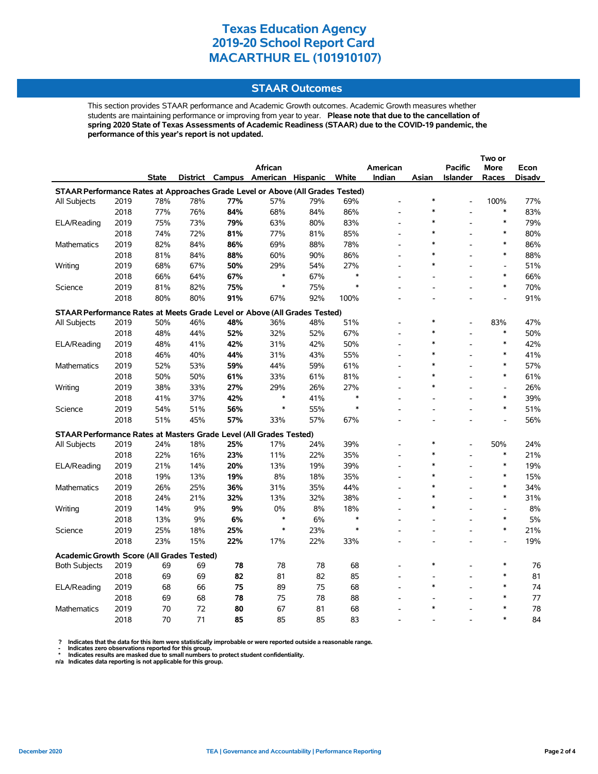## **STAAR Outcomes**

This section provides STAAR performance and Academic Growth outcomes. Academic Growth measures whether students are maintaining performance or improving from year to year. **Please note that due to the cancellation of spring 2020 State of Texas Assessments of Academic Readiness (STAAR) due to the COVID-19 pandemic, the performance of this year's report is not updated.**

|                                                                                    |      |       |     |     |                                   |     |        |                          |        |                          | Two or                   |        |
|------------------------------------------------------------------------------------|------|-------|-----|-----|-----------------------------------|-----|--------|--------------------------|--------|--------------------------|--------------------------|--------|
|                                                                                    |      |       |     |     | African                           |     |        | American                 |        | <b>Pacific</b>           | More                     | Econ   |
|                                                                                    |      | State |     |     | District Campus American Hispanic |     | White  | Indian                   | Asian  | <b>Islander</b>          | Races                    | Disadv |
| STAAR Performance Rates at Approaches Grade Level or Above (All Grades Tested)     |      |       |     |     |                                   |     |        |                          |        |                          |                          |        |
| All Subjects                                                                       | 2019 | 78%   | 78% | 77% | 57%                               | 79% | 69%    |                          | $\ast$ |                          | 100%                     | 77%    |
|                                                                                    | 2018 | 77%   | 76% | 84% | 68%                               | 84% | 86%    |                          |        |                          | $\ast$                   | 83%    |
| ELA/Reading                                                                        | 2019 | 75%   | 73% | 79% | 63%                               | 80% | 83%    |                          | $\ast$ |                          | $\ast$                   | 79%    |
|                                                                                    | 2018 | 74%   | 72% | 81% | 77%                               | 81% | 85%    |                          | $\ast$ |                          | $\ast$                   | 80%    |
| Mathematics                                                                        | 2019 | 82%   | 84% | 86% | 69%                               | 88% | 78%    | $\overline{a}$           | $\ast$ |                          | $\ast$                   | 86%    |
|                                                                                    | 2018 | 81%   | 84% | 88% | 60%                               | 90% | 86%    |                          | $\ast$ |                          | $\ast$                   | 88%    |
| Writing                                                                            | 2019 | 68%   | 67% | 50% | 29%                               | 54% | 27%    |                          | $\ast$ |                          | $\overline{a}$           | 51%    |
|                                                                                    | 2018 | 66%   | 64% | 67% | $\ast$                            | 67% | $\ast$ |                          |        |                          | $\ast$                   | 66%    |
| Science                                                                            | 2019 | 81%   | 82% | 75% | ∗                                 | 75% | *      |                          |        |                          | $\ast$                   | 70%    |
|                                                                                    | 2018 | 80%   | 80% | 91% | 67%                               | 92% | 100%   |                          |        |                          |                          | 91%    |
| STAAR Performance Rates at Meets Grade Level or Above (All Grades Tested)          |      |       |     |     |                                   |     |        |                          |        |                          |                          |        |
| All Subjects                                                                       | 2019 | 50%   | 46% | 48% | 36%                               | 48% | 51%    |                          | $\ast$ |                          | 83%                      | 47%    |
|                                                                                    | 2018 | 48%   | 44% | 52% | 32%                               | 52% | 67%    |                          | $\ast$ |                          | $\ast$                   | 50%    |
| ELA/Reading                                                                        | 2019 | 48%   | 41% | 42% | 31%                               | 42% | 50%    | $\overline{a}$           | $\ast$ | L,                       | $\ast$                   | 42%    |
|                                                                                    | 2018 | 46%   | 40% | 44% | 31%                               | 43% | 55%    |                          | $\ast$ |                          | $\ast$                   | 41%    |
| Mathematics                                                                        | 2019 | 52%   | 53% | 59% | 44%                               | 59% | 61%    |                          | $\ast$ |                          | $\ast$                   | 57%    |
|                                                                                    | 2018 | 50%   | 50% | 61% | 33%                               | 61% | 81%    | L.                       | $\ast$ |                          | $\ast$                   | 61%    |
| Writing                                                                            | 2019 | 38%   | 33% | 27% | 29%                               | 26% | 27%    |                          | $\ast$ |                          | $\overline{\phantom{a}}$ | 26%    |
|                                                                                    | 2018 | 41%   | 37% | 42% | $\ast$                            | 41% | $\ast$ |                          |        |                          | $\ast$                   | 39%    |
| Science                                                                            | 2019 | 54%   | 51% | 56% | $\ast$                            | 55% | $\ast$ |                          |        |                          | $\ast$                   | 51%    |
|                                                                                    | 2018 | 51%   | 45% | 57% | 33%                               | 57% | 67%    |                          |        |                          | $\overline{\phantom{a}}$ | 56%    |
|                                                                                    |      |       |     |     |                                   |     |        |                          |        |                          |                          |        |
| STAAR Performance Rates at Masters Grade Level (All Grades Tested)<br>All Subjects | 2019 | 24%   | 18% | 25% | 17%                               | 24% | 39%    |                          | $\ast$ | $\overline{a}$           | 50%                      | 24%    |
|                                                                                    | 2018 | 22%   | 16% | 23% | 11%                               | 22% | 35%    |                          | $\ast$ |                          | $\ast$                   | 21%    |
| ELA/Reading                                                                        | 2019 | 21%   | 14% | 20% | 13%                               | 19% | 39%    |                          | $\ast$ | L,                       | $\ast$                   | 19%    |
|                                                                                    | 2018 | 19%   | 13% | 19% | 8%                                | 18% | 35%    | $\overline{\phantom{a}}$ | $\ast$ |                          | $\ast$                   | 15%    |
| Mathematics                                                                        | 2019 | 26%   | 25% | 36% | 31%                               | 35% | 44%    |                          | $\ast$ |                          | $\ast$                   | 34%    |
|                                                                                    | 2018 | 24%   | 21% | 32% | 13%                               | 32% | 38%    |                          | $\ast$ |                          | $\ast$                   | 31%    |
| Writing                                                                            | 2019 | 14%   | 9%  | 9%  | 0%                                | 8%  | 18%    | ٠                        | $\ast$ |                          | $\overline{\phantom{a}}$ | 8%     |
|                                                                                    | 2018 | 13%   | 9%  | 6%  | ∗                                 | 6%  | $\ast$ |                          |        |                          | $\ast$                   | 5%     |
| Science                                                                            | 2019 | 25%   | 18% | 25% | $\ast$                            | 23% | $\ast$ |                          |        | $\overline{\phantom{a}}$ | $\ast$                   | 21%    |
|                                                                                    | 2018 | 23%   | 15% | 22% | 17%                               | 22% | 33%    |                          |        | $\overline{\phantom{a}}$ | $\overline{a}$           | 19%    |
|                                                                                    |      |       |     |     |                                   |     |        |                          |        |                          |                          |        |
| <b>Academic Growth Score (All Grades Tested)</b>                                   |      |       |     |     |                                   |     |        |                          | $\ast$ |                          |                          |        |
| <b>Both Subjects</b>                                                               | 2019 | 69    | 69  | 78  | 78                                | 78  | 68     |                          |        |                          | $\ast$                   | 76     |
|                                                                                    | 2018 | 69    | 69  | 82  | 81                                | 82  | 85     |                          | $\ast$ |                          | *<br>$\ast$              | 81     |
| ELA/Reading                                                                        | 2019 | 68    | 66  | 75  | 89                                | 75  | 68     |                          |        |                          | $\ast$                   | 74     |
|                                                                                    | 2018 | 69    | 68  | 78  | 75                                | 78  | 88     |                          | $\ast$ |                          | $\ast$                   | 77     |
| Mathematics                                                                        | 2019 | 70    | 72  | 80  | 67                                | 81  | 68     |                          |        |                          |                          | 78     |
|                                                                                    | 2018 | 70    | 71  | 85  | 85                                | 85  | 83     |                          |        |                          | $\ast$                   | 84     |

? Indicates that the data for this item were statistically improbable or were reported outside a reasonable range.<br>- Indicates zero observations reported for this group.<br>\* Indicates results are masked due to small numbers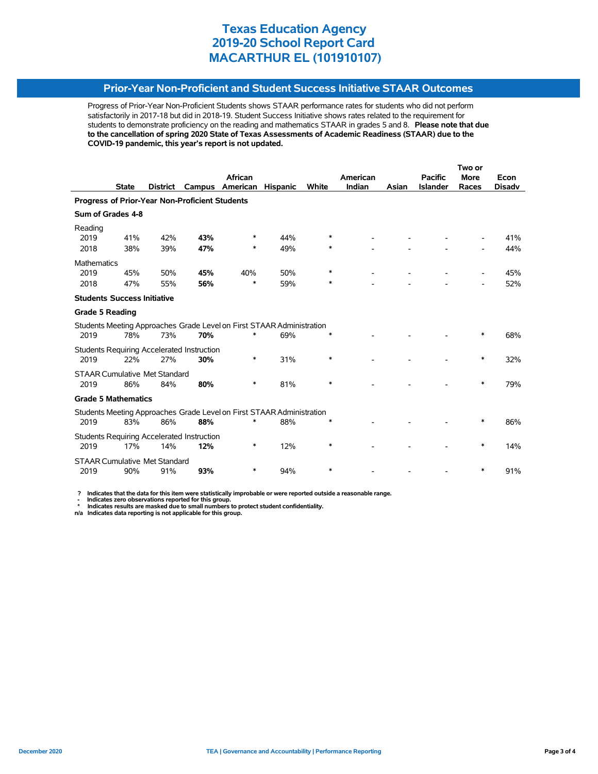## **Prior-Year Non-Proficient and Student Success Initiative STAAR Outcomes**

Progress of Prior-Year Non-Proficient Students shows STAAR performance rates for students who did not perform satisfactorily in 2017-18 but did in 2018-19. Student Success Initiative shows rates related to the requirement for students to demonstrate proficiency on the reading and mathematics STAAR in grades 5 and 8. **Please note that due to the cancellation of spring 2020 State of Texas Assessments of Academic Readiness (STAAR) due to the COVID-19 pandemic, this year's report is not updated.**

|                                                |              |                                      |                                                   |                                                                       |                 |        | Two or   |       |                 |             |               |
|------------------------------------------------|--------------|--------------------------------------|---------------------------------------------------|-----------------------------------------------------------------------|-----------------|--------|----------|-------|-----------------|-------------|---------------|
|                                                |              |                                      |                                                   | African                                                               |                 |        | American |       | <b>Pacific</b>  | <b>More</b> | Econ          |
|                                                | <b>State</b> | <b>District</b>                      | Campus                                            | American                                                              | <b>Hispanic</b> | White  | Indian   | Asian | <b>Islander</b> | Races       | <b>Disadv</b> |
| Progress of Prior-Year Non-Proficient Students |              |                                      |                                                   |                                                                       |                 |        |          |       |                 |             |               |
| Sum of Grades 4-8                              |              |                                      |                                                   |                                                                       |                 |        |          |       |                 |             |               |
| Reading                                        |              |                                      |                                                   |                                                                       |                 |        |          |       |                 |             |               |
| 2019                                           | 41%          | 42%                                  | 43%                                               | ∗                                                                     | 44%             | $\ast$ |          |       |                 |             | 41%           |
| 2018                                           | 38%          | 39%                                  | 47%                                               | ∗                                                                     | 49%             | ∗      |          |       |                 |             | 44%           |
| Mathematics                                    |              |                                      |                                                   |                                                                       |                 |        |          |       |                 |             |               |
| 2019                                           | 45%          | 50%                                  | 45%                                               | 40%                                                                   | 50%             | $\ast$ |          |       |                 |             | 45%           |
| 2018                                           | 47%          | 55%                                  | 56%                                               | $\ast$                                                                | 59%             | ∗      |          |       |                 |             | 52%           |
| <b>Students Success Initiative</b>             |              |                                      |                                                   |                                                                       |                 |        |          |       |                 |             |               |
| <b>Grade 5 Reading</b>                         |              |                                      |                                                   |                                                                       |                 |        |          |       |                 |             |               |
|                                                |              |                                      |                                                   | Students Meeting Approaches Grade Level on First STAAR Administration |                 |        |          |       |                 |             |               |
| 2019                                           | 78%          | 73%                                  | 70%                                               | *                                                                     | 69%             | $\ast$ |          |       |                 | $\ast$      | 68%           |
|                                                |              |                                      | <b>Students Requiring Accelerated Instruction</b> |                                                                       |                 |        |          |       |                 |             |               |
| 2019                                           | 22%          | 27%                                  | 30%                                               | *                                                                     | 31%             | $\ast$ |          |       |                 | $\ast$      | 32%           |
|                                                |              | <b>STAAR Cumulative Met Standard</b> |                                                   |                                                                       |                 |        |          |       |                 |             |               |
| 2019                                           | 86%          | 84%                                  | 80%                                               | *                                                                     | 81%             | $\ast$ |          |       |                 | *           | 79%           |
| <b>Grade 5 Mathematics</b>                     |              |                                      |                                                   |                                                                       |                 |        |          |       |                 |             |               |
|                                                |              |                                      |                                                   | Students Meeting Approaches Grade Level on First STAAR Administration |                 |        |          |       |                 |             |               |
| 2019                                           | 83%          | 86%                                  | 88%                                               |                                                                       | 88%             |        |          |       |                 |             | 86%           |
|                                                |              |                                      | <b>Students Requiring Accelerated Instruction</b> |                                                                       |                 |        |          |       |                 |             |               |
| 2019                                           | 17%          | 14%                                  | 12%                                               | *                                                                     | 12%             | $\ast$ |          |       |                 | *           | 14%           |
|                                                |              | <b>STAAR Cumulative Met Standard</b> |                                                   |                                                                       |                 |        |          |       |                 |             |               |
| 2019                                           | 90%          | 91%                                  | 93%                                               | ∗                                                                     | 94%             | $\ast$ |          |       |                 | ∗           | 91%           |

 **? Indicates that the data for this item were statistically improbable or were reported outside a reasonable range.**

 **- Indicates zero observations reported for this group. \* Indicates results are masked due to small numbers to protect student confidentiality.**

**n/a Indicates data reporting is not applicable for this group.**